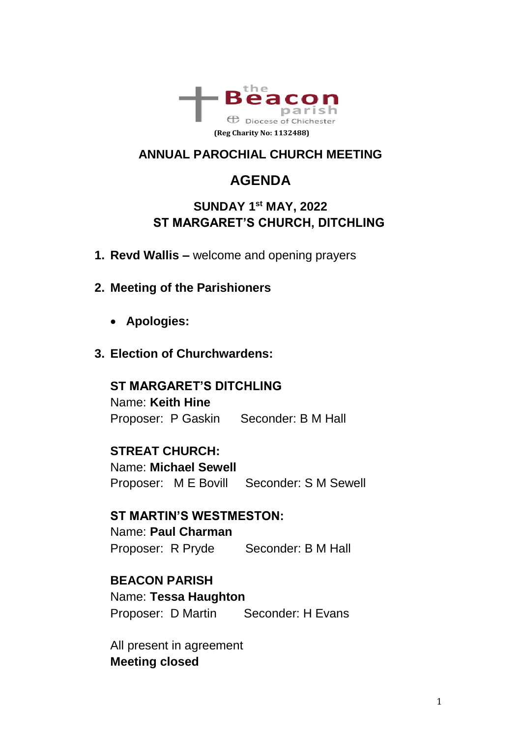

### **ANNUAL PAROCHIAL CHURCH MEETING**

# **AGENDA**

### **SUNDAY 1 st MAY, 2022 ST MARGARET'S CHURCH, DITCHLING**

- **1. Revd Wallis –** welcome and opening prayers
- **2. Meeting of the Parishioners**
	- **Apologies:**
- **3. Election of Churchwardens:**

#### **ST MARGARET'S DITCHLING**

Name: **Keith Hine** Proposer: P Gaskin Seconder: B M Hall

#### **STREAT CHURCH:**

Name: **Michael Sewell**  Proposer: M E Bovill Seconder: S M Sewell

#### **ST MARTIN'S WESTMESTON:**

Name: **Paul Charman**  Proposer: R Pryde Seconder: B M Hall

#### **BEACON PARISH**

Name: **Tessa Haughton** Proposer: D Martin Seconder: H Evans

All present in agreement **Meeting closed**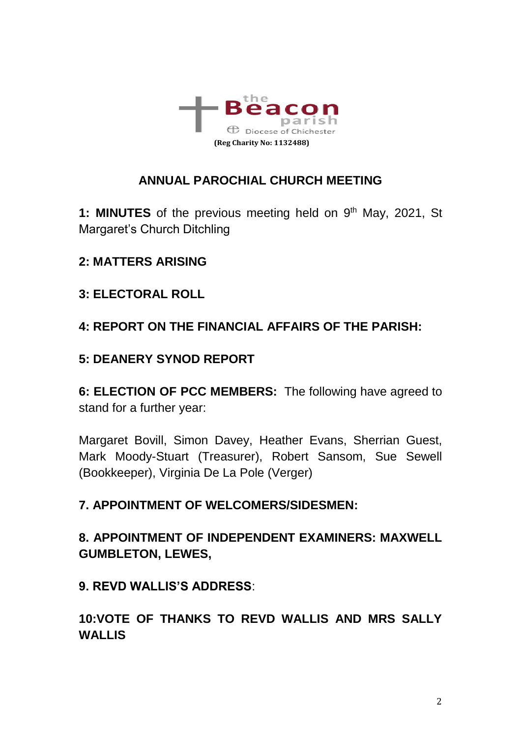

### **ANNUAL PAROCHIAL CHURCH MEETING**

1: **MINUTES** of the previous meeting held on 9<sup>th</sup> May, 2021, St Margaret's Church Ditchling

### **2: MATTERS ARISING**

**3: ELECTORAL ROLL** 

### **4: REPORT ON THE FINANCIAL AFFAIRS OF THE PARISH:**

### **5: DEANERY SYNOD REPORT**

**6: ELECTION OF PCC MEMBERS:** The following have agreed to stand for a further year:

Margaret Bovill, Simon Davey, Heather Evans, Sherrian Guest, Mark Moody-Stuart (Treasurer), Robert Sansom, Sue Sewell (Bookkeeper), Virginia De La Pole (Verger)

#### **7. APPOINTMENT OF WELCOMERS/SIDESMEN:**

**8. APPOINTMENT OF INDEPENDENT EXAMINERS: MAXWELL GUMBLETON, LEWES,** 

**9. REVD WALLIS'S ADDRESS**:

**10:VOTE OF THANKS TO REVD WALLIS AND MRS SALLY WALLIS**